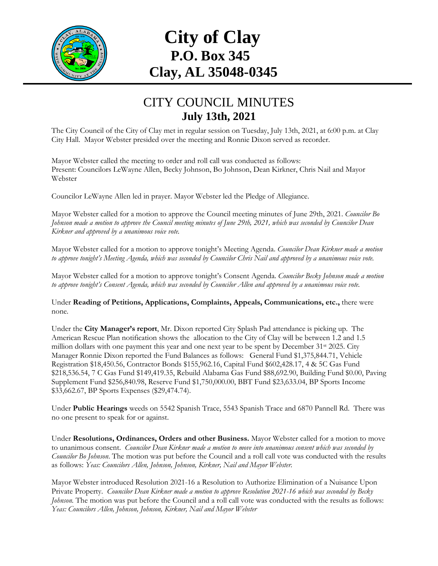

## **City of Clay P.O. Box 345 Clay, AL 35048-0345**

## CITY COUNCIL MINUTES **July 13th, 2021**

The City Council of the City of Clay met in regular session on Tuesday, July 13th, 2021, at 6:00 p.m. at Clay City Hall. Mayor Webster presided over the meeting and Ronnie Dixon served as recorder.

Mayor Webster called the meeting to order and roll call was conducted as follows: Present: Councilors LeWayne Allen, Becky Johnson, Bo Johnson, Dean Kirkner, Chris Nail and Mayor Webster

Councilor LeWayne Allen led in prayer. Mayor Webster led the Pledge of Allegiance.

Mayor Webster called for a motion to approve the Council meeting minutes of June 29th, 2021. *Councilor Bo Johnson made a motion to approve the Council meeting minutes of June 29th, 2021, which was seconded by Councilor Dean Kirkner and approved by a unanimous voice vote.*

Mayor Webster called for a motion to approve tonight's Meeting Agenda. *Councilor Dean Kirkner made a motion to approve tonight's Meeting Agenda, which was seconded by Councilor Chris Nail and approved by a unanimous voice vote.*

Mayor Webster called for a motion to approve tonight's Consent Agenda. *Councilor Becky Johnson made a motion to approve tonight's Consent Agenda, which was seconded by Councilor Allen and approved by a unanimous voice vote.*

Under **Reading of Petitions, Applications, Complaints, Appeals, Communications, etc.,** there were none*.*

Under the **City Manager's report**, Mr. Dixon reported City Splash Pad attendance is picking up. The American Rescue Plan notification shows the allocation to the City of Clay will be between 1.2 and 1.5 million dollars with one payment this year and one next year to be spent by December 31<sup>st</sup> 2025. City Manager Ronnie Dixon reported the Fund Balances as follows: General Fund \$1,375,844.71, Vehicle Registration \$18,450.56, Contractor Bonds \$155,962.16, Capital Fund \$602,428.17, 4 & 5C Gas Fund \$218,536.54, 7 C Gas Fund \$149,419.35, Rebuild Alabama Gas Fund \$88,692.90, Building Fund \$0.00, Paving Supplement Fund \$256,840.98, Reserve Fund \$1,750,000.00, BBT Fund \$23,633.04, BP Sports Income \$33,662.67, BP Sports Expenses (\$29,474.74).

Under **Public Hearings** weeds on 5542 Spanish Trace, 5543 Spanish Trace and 6870 Pannell Rd. There was no one present to speak for or against.

Under **Resolutions, Ordinances, Orders and other Business.** Mayor Webster called for a motion to move to unanimous consent. *Councilor Dean Kirkner made a motion to move into unanimous consent which was seconded by Councilor Bo Johnson*. The motion was put before the Council and a roll call vote was conducted with the results as follows: *Yeas: Councilors Allen, Johnson, Johnson, Kirkner, Nail and Mayor Webster.*

Mayor Webster introduced Resolution 2021-16 a Resolution to Authorize Elimination of a Nuisance Upon Private Property. *Councilor Dean Kirkner made a motion to approve Resolution 2021-16 which was seconded by Becky Johnson*. The motion was put before the Council and a roll call vote was conducted with the results as follows: *Yeas: Councilors Allen, Johnson, Johnson, Kirkner, Nail and Mayor Webster*